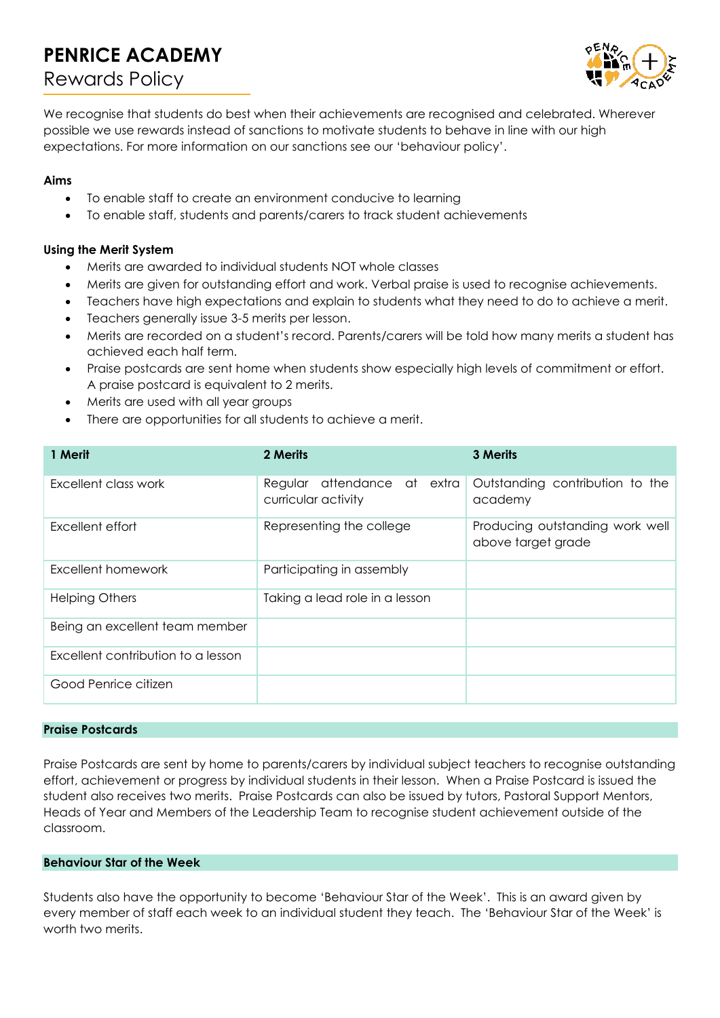# **PENRICE ACADEMY** Rewards Policy



We recognise that students do best when their achievements are recognised and celebrated. Wherever possible we use rewards instead of sanctions to motivate students to behave in line with our high expectations. For more information on our sanctions see our 'behaviour policy'.

# **Aims**

- To enable staff to create an environment conducive to learning
- To enable staff, students and parents/carers to track student achievements

# **Using the Merit System**

- Merits are awarded to individual students NOT whole classes
- Merits are given for outstanding effort and work. Verbal praise is used to recognise achievements.
- Teachers have high expectations and explain to students what they need to do to achieve a merit.
- Teachers generally issue 3-5 merits per lesson.
- Merits are recorded on a student's record. Parents/carers will be told how many merits a student has achieved each half term.
- Praise postcards are sent home when students show especially high levels of commitment or effort. A praise postcard is equivalent to 2 merits.
- Merits are used with all year groups
- There are opportunities for all students to achieve a merit.

| 1 Merit                            | 2 Merits                                              | 3 Merits                                              |
|------------------------------------|-------------------------------------------------------|-------------------------------------------------------|
| Excellent class work               | attendance at extra<br>Regular<br>curricular activity | Outstanding contribution to the<br>academy            |
| Excellent effort                   | Representing the college                              | Producing outstanding work well<br>above target grade |
| Excellent homework                 | Participating in assembly                             |                                                       |
| <b>Helping Others</b>              | Taking a lead role in a lesson                        |                                                       |
| Being an excellent team member     |                                                       |                                                       |
| Excellent contribution to a lesson |                                                       |                                                       |
| Good Penrice citizen               |                                                       |                                                       |

## **Praise Postcards**

Praise Postcards are sent by home to parents/carers by individual subject teachers to recognise outstanding effort, achievement or progress by individual students in their lesson. When a Praise Postcard is issued the student also receives two merits. Praise Postcards can also be issued by tutors, Pastoral Support Mentors, Heads of Year and Members of the Leadership Team to recognise student achievement outside of the classroom.

## **Behaviour Star of the Week**

Students also have the opportunity to become 'Behaviour Star of the Week'. This is an award given by every member of staff each week to an individual student they teach. The 'Behaviour Star of the Week' is worth two merits.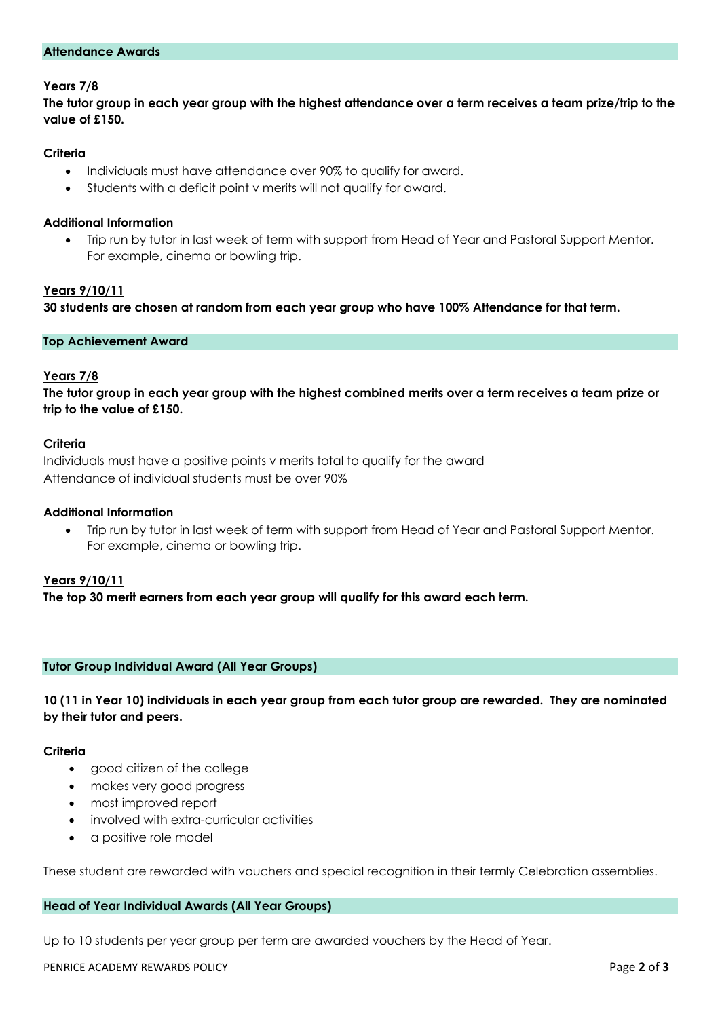#### **Attendance Awards**

# **Years 7/8**

**The tutor group in each year group with the highest attendance over a term receives a team prize/trip to the value of £150.**

## **Criteria**

- Individuals must have attendance over 90% to qualify for award.
- Students with a deficit point v merits will not qualify for award.

#### **Additional Information**

 Trip run by tutor in last week of term with support from Head of Year and Pastoral Support Mentor. For example, cinema or bowling trip.

#### **Years 9/10/11**

**30 students are chosen at random from each year group who have 100% Attendance for that term.** 

#### **Top Achievement Award**

#### **Years 7/8**

**The tutor group in each year group with the highest combined merits over a term receives a team prize or trip to the value of £150.**

#### **Criteria**

Individuals must have a positive points v merits total to qualify for the award Attendance of individual students must be over 90%

#### **Additional Information**

 Trip run by tutor in last week of term with support from Head of Year and Pastoral Support Mentor. For example, cinema or bowling trip.

# **Years 9/10/11**

**The top 30 merit earners from each year group will qualify for this award each term.**

#### **Tutor Group Individual Award (All Year Groups)**

**10 (11 in Year 10) individuals in each year group from each tutor group are rewarded. They are nominated by their tutor and peers.**

#### **Criteria**

- good citizen of the college
- makes very good progress
- most improved report
- involved with extra-curricular activities
- a positive role model

These student are rewarded with vouchers and special recognition in their termly Celebration assemblies.

#### **Head of Year Individual Awards (All Year Groups)**

Up to 10 students per year group per term are awarded vouchers by the Head of Year.